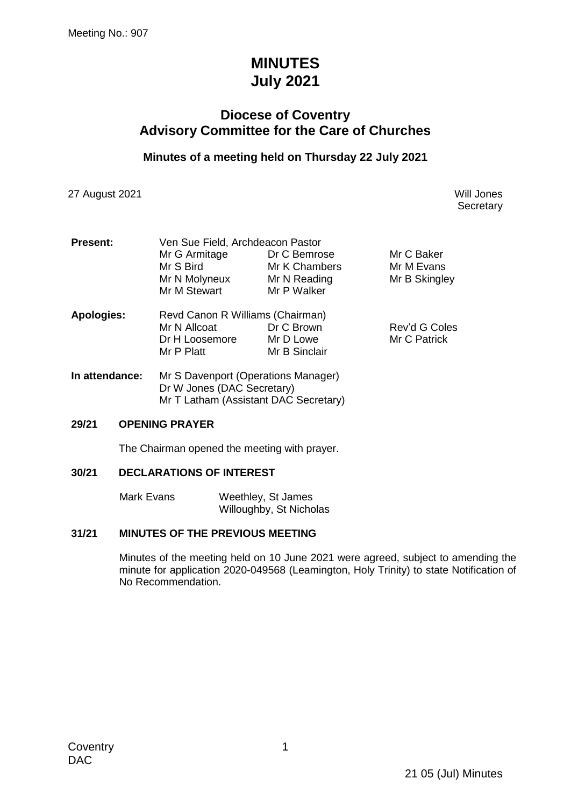# **MINUTES July 2021**

## **Diocese of Coventry Advisory Committee for the Care of Churches**

### **Minutes of a meeting held on Thursday 22 July 2021**

27 August 2021 Will Jones

**Secretary** 

| <b>Present:</b>   | Ven Sue Field, Archdeacon Pastor    |               |               |  |
|-------------------|-------------------------------------|---------------|---------------|--|
|                   | Mr G Armitage                       | Dr C Bemrose  | Mr C Baker    |  |
|                   | Mr S Bird                           | Mr K Chambers | Mr M Evans    |  |
|                   | Mr N Molyneux                       | Mr N Reading  | Mr B Skingley |  |
|                   | Mr M Stewart                        | Mr P Walker   |               |  |
| <b>Apologies:</b> | Revd Canon R Williams (Chairman)    |               |               |  |
|                   | Mr N Allcoat                        | Dr C Brown    | Rev'd G Coles |  |
|                   | Dr H Loosemore                      | Mr D Lowe     | Mr C Patrick  |  |
|                   | Mr P Platt                          | Mr B Sinclair |               |  |
| In attendance:    | Mr S Davennort (Operations Manager) |               |               |  |

**In attendance:** Mr S Davenport (Operations Manager) Dr W Jones (DAC Secretary) Mr T Latham (Assistant DAC Secretary)

### **29/21 OPENING PRAYER**

The Chairman opened the meeting with prayer.

#### **30/21 DECLARATIONS OF INTEREST**

Mark Evans Weethley, St James Willoughby, St Nicholas

### **31/21 MINUTES OF THE PREVIOUS MEETING**

Minutes of the meeting held on 10 June 2021 were agreed, subject to amending the minute for application 2020-049568 (Leamington, Holy Trinity) to state Notification of No Recommendation.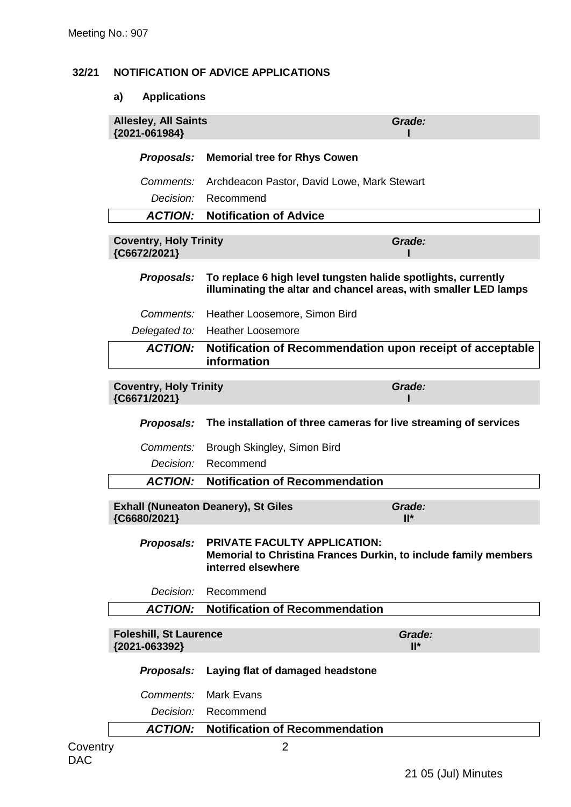### **32/21 NOTIFICATION OF ADVICE APPLICATIONS**

### **a) Applications**

| Proposals:<br>Comments:<br>Decision:                       | <b>Memorial tree for Rhys Cowen</b><br>Archdeacon Pastor, David Lowe, Mark Stewart<br>Recommend<br><b>Notification of Advice</b>  |                  |
|------------------------------------------------------------|-----------------------------------------------------------------------------------------------------------------------------------|------------------|
|                                                            |                                                                                                                                   |                  |
|                                                            |                                                                                                                                   |                  |
|                                                            |                                                                                                                                   |                  |
| <b>ACTION:</b>                                             |                                                                                                                                   |                  |
| <b>Coventry, Holy Trinity</b><br>{C6672/2021}              |                                                                                                                                   | Grade:           |
| Proposals:                                                 | To replace 6 high level tungsten halide spotlights, currently<br>illuminating the altar and chancel areas, with smaller LED lamps |                  |
| Comments:                                                  | Heather Loosemore, Simon Bird                                                                                                     |                  |
| Delegated to:                                              | <b>Heather Loosemore</b>                                                                                                          |                  |
| <b>ACTION:</b>                                             | Notification of Recommendation upon receipt of acceptable<br>information                                                          |                  |
| <b>Coventry, Holy Trinity</b><br>{C6671/2021}              |                                                                                                                                   | Grade:           |
| <b>Proposals:</b>                                          | The installation of three cameras for live streaming of services                                                                  |                  |
| Comments:                                                  | Brough Skingley, Simon Bird                                                                                                       |                  |
| Decision:                                                  | Recommend                                                                                                                         |                  |
| <b>ACTION:</b>                                             | <b>Notification of Recommendation</b>                                                                                             |                  |
| <b>Exhall (Nuneaton Deanery), St Giles</b><br>{C6680/2021} |                                                                                                                                   | Grade:<br>$II^*$ |
|                                                            | Proposals: PRIVATE FACULTY APPLICATION:<br>Memorial to Christina Frances Durkin, to include family members<br>interred elsewhere  |                  |
| Decision:                                                  | Recommend                                                                                                                         |                  |
| <b>ACTION:</b>                                             | <b>Notification of Recommendation</b>                                                                                             |                  |
| <b>Foleshill, St Laurence</b><br>{2021-063392}             |                                                                                                                                   | Grade:<br>$II^*$ |
| Proposals:                                                 | Laying flat of damaged headstone                                                                                                  |                  |
| Comments:                                                  | <b>Mark Evans</b>                                                                                                                 |                  |
| Decision:                                                  | Recommend                                                                                                                         |                  |
| <b>ACTION:</b>                                             | <b>Notification of Recommendation</b>                                                                                             |                  |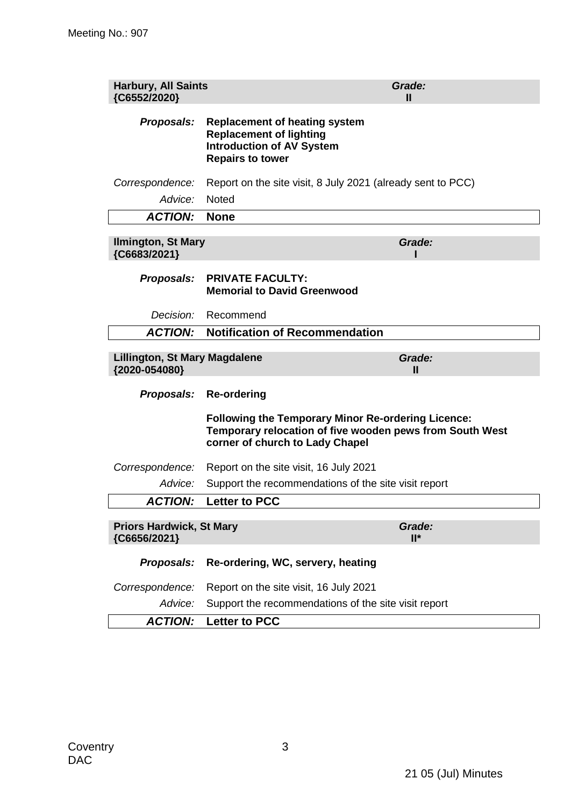| <b>Harbury, All Saints</b><br>{C6552/2020}            |                                                                                                                                                          | Grade:<br>Ш      |
|-------------------------------------------------------|----------------------------------------------------------------------------------------------------------------------------------------------------------|------------------|
| Proposals:                                            | <b>Replacement of heating system</b><br><b>Replacement of lighting</b><br><b>Introduction of AV System</b><br><b>Repairs to tower</b>                    |                  |
| Correspondence:                                       | Report on the site visit, 8 July 2021 (already sent to PCC)                                                                                              |                  |
| Advice:                                               | <b>Noted</b>                                                                                                                                             |                  |
| <b>ACTION:</b>                                        | <b>None</b>                                                                                                                                              |                  |
| <b>Ilmington, St Mary</b><br>{C6683/2021}             |                                                                                                                                                          | Grade:           |
| Proposals:                                            | <b>PRIVATE FACULTY:</b><br><b>Memorial to David Greenwood</b>                                                                                            |                  |
| Decision:                                             | Recommend                                                                                                                                                |                  |
| <b>ACTION:</b>                                        | <b>Notification of Recommendation</b>                                                                                                                    |                  |
| <b>Lillington, St Mary Magdalene</b><br>{2020-054080} |                                                                                                                                                          | Grade:<br>Ш      |
| Proposals:                                            | <b>Re-ordering</b>                                                                                                                                       |                  |
|                                                       | <b>Following the Temporary Minor Re-ordering Licence:</b><br>Temporary relocation of five wooden pews from South West<br>corner of church to Lady Chapel |                  |
| Correspondence:                                       | Report on the site visit, 16 July 2021                                                                                                                   |                  |
| Advice:                                               | Support the recommendations of the site visit report                                                                                                     |                  |
| <b>ACTION:</b>                                        | <b>Letter to PCC</b>                                                                                                                                     |                  |
| <b>Priors Hardwick, St Mary</b><br>{C6656/2021}       |                                                                                                                                                          | Grade:<br>$II^*$ |
| Proposals:                                            | Re-ordering, WC, servery, heating                                                                                                                        |                  |
| Correspondence:                                       | Report on the site visit, 16 July 2021                                                                                                                   |                  |
| Advice:                                               | Support the recommendations of the site visit report                                                                                                     |                  |
| <b>ACTION:</b>                                        | <b>Letter to PCC</b>                                                                                                                                     |                  |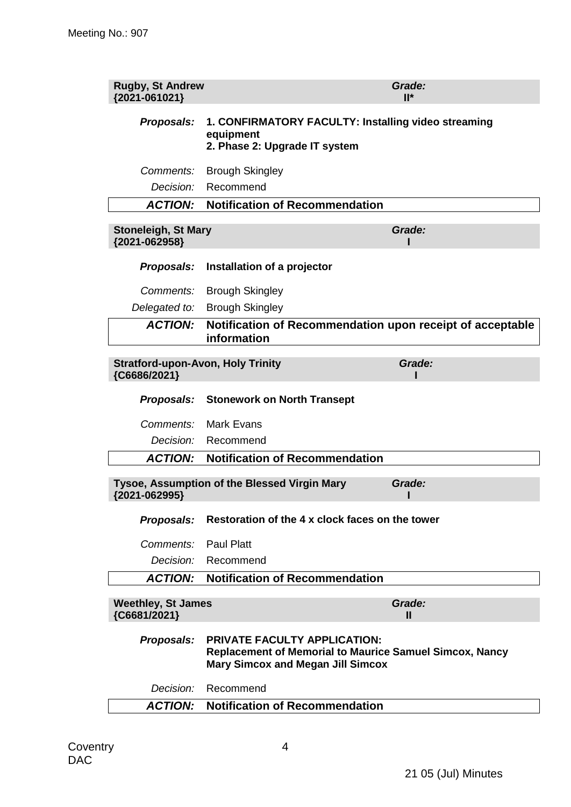| <b>Rugby, St Andrew</b><br>{2021-061021}                 |                                                                                                                                                   | Grade:<br>$II^*$ |
|----------------------------------------------------------|---------------------------------------------------------------------------------------------------------------------------------------------------|------------------|
| Proposals:                                               | 1. CONFIRMATORY FACULTY: Installing video streaming<br>equipment<br>2. Phase 2: Upgrade IT system                                                 |                  |
| Comments:                                                | <b>Brough Skingley</b>                                                                                                                            |                  |
| Decision:                                                | Recommend                                                                                                                                         |                  |
| <b>ACTION:</b>                                           | <b>Notification of Recommendation</b>                                                                                                             |                  |
| <b>Stoneleigh, St Mary</b><br>{2021-062958}              |                                                                                                                                                   | Grade:           |
| Proposals:                                               | Installation of a projector                                                                                                                       |                  |
| Comments:                                                | <b>Brough Skingley</b>                                                                                                                            |                  |
| Delegated to:                                            | <b>Brough Skingley</b>                                                                                                                            |                  |
| <b>ACTION:</b>                                           | Notification of Recommendation upon receipt of acceptable<br>information                                                                          |                  |
| <b>Stratford-upon-Avon, Holy Trinity</b><br>{C6686/2021} |                                                                                                                                                   | Grade:           |
| Proposals:                                               | <b>Stonework on North Transept</b>                                                                                                                |                  |
| Comments:                                                | <b>Mark Evans</b>                                                                                                                                 |                  |
| <i>Decision:</i>                                         | Recommend                                                                                                                                         |                  |
| <b>ACTION:</b>                                           | <b>Notification of Recommendation</b>                                                                                                             |                  |
| {2021-062995}                                            | Tysoe, Assumption of the Blessed Virgin Mary                                                                                                      | Grade:           |
| Proposals:                                               | Restoration of the 4 x clock faces on the tower                                                                                                   |                  |
| Comments:                                                | <b>Paul Platt</b>                                                                                                                                 |                  |
| Decision:                                                | Recommend                                                                                                                                         |                  |
| <b>ACTION:</b>                                           | <b>Notification of Recommendation</b>                                                                                                             |                  |
| <b>Weethley, St James</b><br>{C6681/2021}                |                                                                                                                                                   | Grade:<br>Ш      |
| <b>Proposals:</b>                                        | <b>PRIVATE FACULTY APPLICATION:</b><br><b>Replacement of Memorial to Maurice Samuel Simcox, Nancy</b><br><b>Mary Simcox and Megan Jill Simcox</b> |                  |
| Decision:                                                | Recommend                                                                                                                                         |                  |
| <b>ACTION:</b>                                           | <b>Notification of Recommendation</b>                                                                                                             |                  |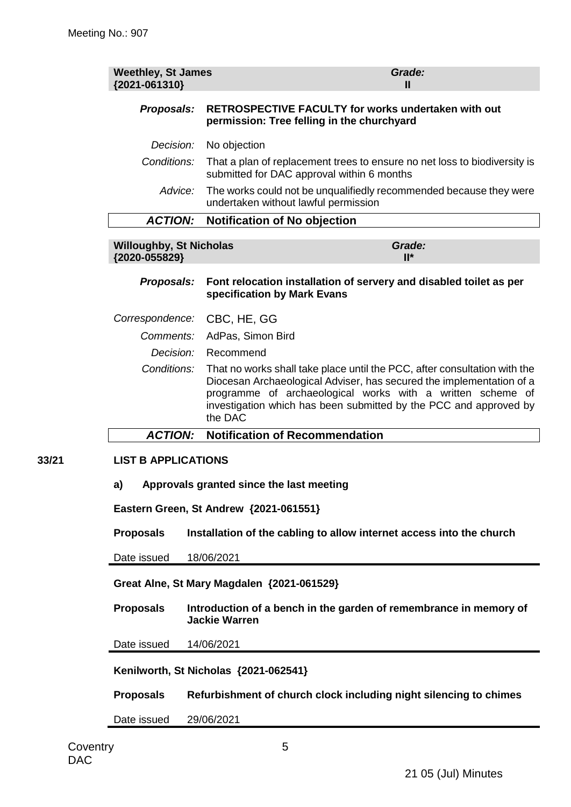| <b>Weethley, St James</b><br>{2021-061310}      | Grade:<br>Ш                                                                                                                                                                                                                                                                                     |  |  |
|-------------------------------------------------|-------------------------------------------------------------------------------------------------------------------------------------------------------------------------------------------------------------------------------------------------------------------------------------------------|--|--|
| Proposals:                                      | <b>RETROSPECTIVE FACULTY for works undertaken with out</b><br>permission: Tree felling in the churchyard                                                                                                                                                                                        |  |  |
| Decision:                                       | No objection                                                                                                                                                                                                                                                                                    |  |  |
| Conditions:                                     | That a plan of replacement trees to ensure no net loss to biodiversity is<br>submitted for DAC approval within 6 months                                                                                                                                                                         |  |  |
| Advice:                                         | The works could not be unqualifiedly recommended because they were<br>undertaken without lawful permission                                                                                                                                                                                      |  |  |
| <b>ACTION:</b>                                  | <b>Notification of No objection</b>                                                                                                                                                                                                                                                             |  |  |
| <b>Willoughby, St Nicholas</b><br>{2020-055829} | Grade:<br>$II^*$                                                                                                                                                                                                                                                                                |  |  |
| Proposals:                                      | Font relocation installation of servery and disabled toilet as per<br>specification by Mark Evans                                                                                                                                                                                               |  |  |
| Correspondence:                                 | CBC, HE, GG                                                                                                                                                                                                                                                                                     |  |  |
| Comments:                                       | AdPas, Simon Bird                                                                                                                                                                                                                                                                               |  |  |
| Decision:                                       | Recommend                                                                                                                                                                                                                                                                                       |  |  |
| Conditions:                                     | That no works shall take place until the PCC, after consultation with the<br>Diocesan Archaeological Adviser, has secured the implementation of a<br>programme of archaeological works with a written scheme of<br>investigation which has been submitted by the PCC and approved by<br>the DAC |  |  |
| <b>ACTION:</b>                                  | <b>Notification of Recommendation</b>                                                                                                                                                                                                                                                           |  |  |
| <b>LIST B APPLICATIONS</b>                      |                                                                                                                                                                                                                                                                                                 |  |  |
| a)                                              | Approvals granted since the last meeting                                                                                                                                                                                                                                                        |  |  |
|                                                 | Eastern Green, St Andrew {2021-061551}                                                                                                                                                                                                                                                          |  |  |
| <b>Proposals</b>                                | Installation of the cabling to allow internet access into the church                                                                                                                                                                                                                            |  |  |
| Date issued                                     | 18/06/2021                                                                                                                                                                                                                                                                                      |  |  |
|                                                 | Great Alne, St Mary Magdalen {2021-061529}                                                                                                                                                                                                                                                      |  |  |
| <b>Proposals</b>                                | Introduction of a bench in the garden of remembrance in memory of<br><b>Jackie Warren</b>                                                                                                                                                                                                       |  |  |
| Date issued                                     | 14/06/2021                                                                                                                                                                                                                                                                                      |  |  |
| Kenilworth, St Nicholas {2021-062541}           |                                                                                                                                                                                                                                                                                                 |  |  |
| <b>Proposals</b>                                | Refurbishment of church clock including night silencing to chimes                                                                                                                                                                                                                               |  |  |
| Date issued                                     | 29/06/2021                                                                                                                                                                                                                                                                                      |  |  |

**33/21**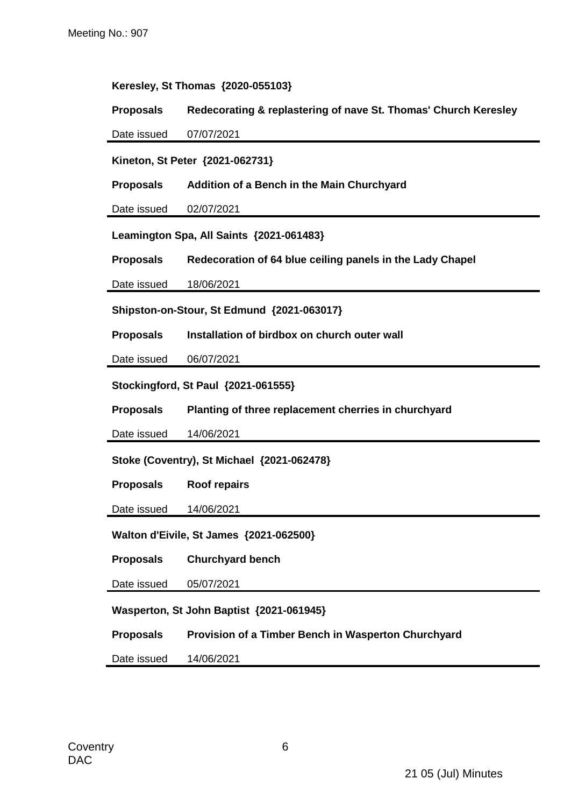#### **Keresley, St Thomas {2020-055103}**

**Proposals Redecorating & replastering of nave St. Thomas' Church Keresley**

Date issued 07/07/2021

**Kineton, St Peter {2021-062731}**

**Proposals Addition of a Bench in the Main Churchyard**

Date issued 02/07/2021

**Leamington Spa, All Saints {2021-061483}**

**Proposals Redecoration of 64 blue ceiling panels in the Lady Chapel**

Date issued 18/06/2021

**Shipston-on-Stour, St Edmund {2021-063017}**

**Proposals Installation of birdbox on church outer wall**

Date issued 06/07/2021

**Stockingford, St Paul {2021-061555}**

**Proposals Planting of three replacement cherries in churchyard**

Date issued 14/06/2021

**Stoke (Coventry), St Michael {2021-062478}**

**Proposals Roof repairs**

Date issued 14/06/2021

**Walton d'Eivile, St James {2021-062500}**

**Proposals Churchyard bench**

Date issued 05/07/2021

**Wasperton, St John Baptist {2021-061945}**

**Proposals Provision of a Timber Bench in Wasperton Churchyard**

Date issued 14/06/2021